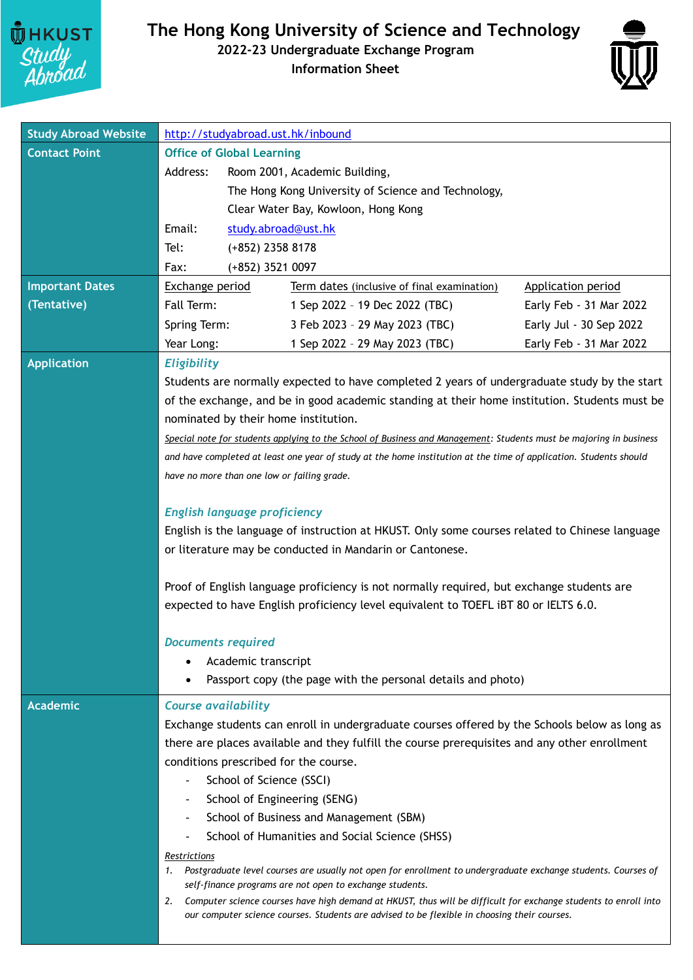

## **The Hong Kong University of Science and Technology**

## **2022-23 Undergraduate Exchange Program**

**Information Sheet**



| <b>Study Abroad Website</b> | http://studyabroad.ust.hk/inbound                                                                                                                                                |                                                                                                                                                                             |                         |
|-----------------------------|----------------------------------------------------------------------------------------------------------------------------------------------------------------------------------|-----------------------------------------------------------------------------------------------------------------------------------------------------------------------------|-------------------------|
| <b>Contact Point</b>        | <b>Office of Global Learning</b>                                                                                                                                                 |                                                                                                                                                                             |                         |
|                             | Address:                                                                                                                                                                         | Room 2001, Academic Building,                                                                                                                                               |                         |
|                             |                                                                                                                                                                                  | The Hong Kong University of Science and Technology,                                                                                                                         |                         |
|                             |                                                                                                                                                                                  | Clear Water Bay, Kowloon, Hong Kong                                                                                                                                         |                         |
|                             | Email:                                                                                                                                                                           | study.abroad@ust.hk                                                                                                                                                         |                         |
|                             | Tel:<br>$(+852)$ 2358 8178                                                                                                                                                       |                                                                                                                                                                             |                         |
|                             | (+852) 3521 0097<br>Fax:                                                                                                                                                         |                                                                                                                                                                             |                         |
| <b>Important Dates</b>      | <b>Exchange period</b>                                                                                                                                                           | Term dates (inclusive of final examination)                                                                                                                                 | Application period      |
| (Tentative)                 | Fall Term:                                                                                                                                                                       | 1 Sep 2022 - 19 Dec 2022 (TBC)                                                                                                                                              | Early Feb - 31 Mar 2022 |
|                             | Spring Term:                                                                                                                                                                     | 3 Feb 2023 - 29 May 2023 (TBC)                                                                                                                                              | Early Jul - 30 Sep 2022 |
|                             | Year Long:                                                                                                                                                                       | 1 Sep 2022 - 29 May 2023 (TBC)                                                                                                                                              | Early Feb - 31 Mar 2022 |
| <b>Application</b>          | <b>Eligibility</b>                                                                                                                                                               |                                                                                                                                                                             |                         |
|                             | Students are normally expected to have completed 2 years of undergraduate study by the start                                                                                     |                                                                                                                                                                             |                         |
|                             | of the exchange, and be in good academic standing at their home institution. Students must be                                                                                    |                                                                                                                                                                             |                         |
|                             | nominated by their home institution.                                                                                                                                             |                                                                                                                                                                             |                         |
|                             |                                                                                                                                                                                  | Special note for students applying to the School of Business and Management: Students must be majoring in business                                                          |                         |
|                             |                                                                                                                                                                                  | and have completed at least one year of study at the home institution at the time of application. Students should                                                           |                         |
|                             | have no more than one low or failing grade.                                                                                                                                      |                                                                                                                                                                             |                         |
|                             |                                                                                                                                                                                  |                                                                                                                                                                             |                         |
|                             | <b>English language proficiency</b>                                                                                                                                              |                                                                                                                                                                             |                         |
|                             |                                                                                                                                                                                  | English is the language of instruction at HKUST. Only some courses related to Chinese language                                                                              |                         |
|                             |                                                                                                                                                                                  | or literature may be conducted in Mandarin or Cantonese.                                                                                                                    |                         |
|                             |                                                                                                                                                                                  |                                                                                                                                                                             |                         |
|                             | Proof of English language proficiency is not normally required, but exchange students are<br>expected to have English proficiency level equivalent to TOEFL IBT 80 or IELTS 6.0. |                                                                                                                                                                             |                         |
|                             |                                                                                                                                                                                  |                                                                                                                                                                             |                         |
|                             | <b>Documents required</b>                                                                                                                                                        |                                                                                                                                                                             |                         |
|                             | Academic transcript                                                                                                                                                              |                                                                                                                                                                             |                         |
|                             |                                                                                                                                                                                  | Passport copy (the page with the personal details and photo)                                                                                                                |                         |
| <b>Academic</b>             | <b>Course availability</b>                                                                                                                                                       |                                                                                                                                                                             |                         |
|                             |                                                                                                                                                                                  | Exchange students can enroll in undergraduate courses offered by the Schools below as long as                                                                               |                         |
|                             |                                                                                                                                                                                  | there are places available and they fulfill the course prerequisites and any other enrollment                                                                               |                         |
|                             | conditions prescribed for the course.                                                                                                                                            |                                                                                                                                                                             |                         |
|                             | School of Science (SSCI)                                                                                                                                                         |                                                                                                                                                                             |                         |
|                             |                                                                                                                                                                                  | School of Engineering (SENG)                                                                                                                                                |                         |
|                             |                                                                                                                                                                                  | School of Business and Management (SBM)                                                                                                                                     |                         |
|                             |                                                                                                                                                                                  | School of Humanities and Social Science (SHSS)                                                                                                                              |                         |
|                             | Restrictions                                                                                                                                                                     |                                                                                                                                                                             |                         |
|                             | 1.                                                                                                                                                                               | Postgraduate level courses are usually not open for enrollment to undergraduate exchange students. Courses of                                                               |                         |
|                             | 2.                                                                                                                                                                               | self-finance programs are not open to exchange students.<br>Computer science courses have high demand at HKUST, thus will be difficult for exchange students to enroll into |                         |
|                             |                                                                                                                                                                                  | our computer science courses. Students are advised to be flexible in choosing their courses.                                                                                |                         |
|                             |                                                                                                                                                                                  |                                                                                                                                                                             |                         |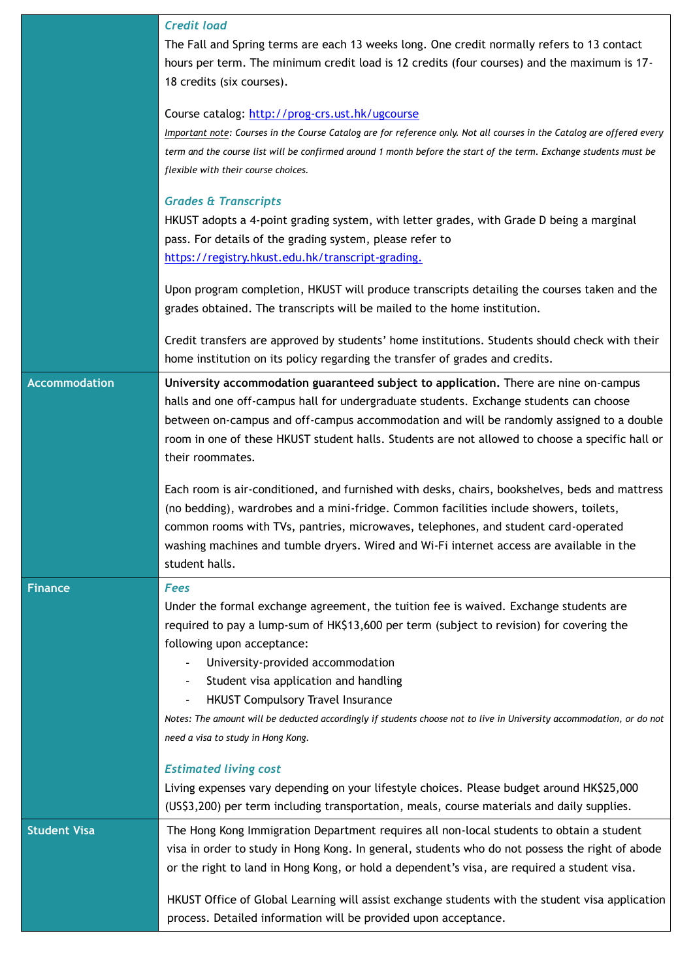|                      | <b>Credit load</b><br>The Fall and Spring terms are each 13 weeks long. One credit normally refers to 13 contact<br>hours per term. The minimum credit load is 12 credits (four courses) and the maximum is 17-<br>18 credits (six courses).<br>Course catalog: http://prog-crs.ust.hk/ugcourse<br>Important note: Courses in the Course Catalog are for reference only. Not all courses in the Catalog are offered every<br>term and the course list will be confirmed around 1 month before the start of the term. Exchange students must be<br>flexible with their course choices.<br><b>Grades &amp; Transcripts</b><br>HKUST adopts a 4-point grading system, with letter grades, with Grade D being a marginal<br>pass. For details of the grading system, please refer to<br>https://registry.hkust.edu.hk/transcript-grading.<br>Upon program completion, HKUST will produce transcripts detailing the courses taken and the<br>grades obtained. The transcripts will be mailed to the home institution.<br>Credit transfers are approved by students' home institutions. Students should check with their |
|----------------------|--------------------------------------------------------------------------------------------------------------------------------------------------------------------------------------------------------------------------------------------------------------------------------------------------------------------------------------------------------------------------------------------------------------------------------------------------------------------------------------------------------------------------------------------------------------------------------------------------------------------------------------------------------------------------------------------------------------------------------------------------------------------------------------------------------------------------------------------------------------------------------------------------------------------------------------------------------------------------------------------------------------------------------------------------------------------------------------------------------------------|
|                      | home institution on its policy regarding the transfer of grades and credits.                                                                                                                                                                                                                                                                                                                                                                                                                                                                                                                                                                                                                                                                                                                                                                                                                                                                                                                                                                                                                                       |
| <b>Accommodation</b> | University accommodation guaranteed subject to application. There are nine on-campus<br>halls and one off-campus hall for undergraduate students. Exchange students can choose<br>between on-campus and off-campus accommodation and will be randomly assigned to a double<br>room in one of these HKUST student halls. Students are not allowed to choose a specific hall or<br>their roommates.<br>Each room is air-conditioned, and furnished with desks, chairs, bookshelves, beds and mattress<br>(no bedding), wardrobes and a mini-fridge. Common facilities include showers, toilets,<br>common rooms with TVs, pantries, microwaves, telephones, and student card-operated                                                                                                                                                                                                                                                                                                                                                                                                                                |
|                      | washing machines and tumble dryers. Wired and Wi-Fi internet access are available in the<br>student halls.                                                                                                                                                                                                                                                                                                                                                                                                                                                                                                                                                                                                                                                                                                                                                                                                                                                                                                                                                                                                         |
| <b>Finance</b>       | <b>Fees</b><br>Under the formal exchange agreement, the tuition fee is waived. Exchange students are<br>required to pay a lump-sum of HK\$13,600 per term (subject to revision) for covering the<br>following upon acceptance:<br>University-provided accommodation<br>Student visa application and handling<br><b>HKUST Compulsory Travel Insurance</b><br>Notes: The amount will be deducted accordingly if students choose not to live in University accommodation, or do not<br>need a visa to study in Hong Kong.                                                                                                                                                                                                                                                                                                                                                                                                                                                                                                                                                                                             |
|                      | <b>Estimated living cost</b><br>Living expenses vary depending on your lifestyle choices. Please budget around HK\$25,000<br>(US\$3,200) per term including transportation, meals, course materials and daily supplies.                                                                                                                                                                                                                                                                                                                                                                                                                                                                                                                                                                                                                                                                                                                                                                                                                                                                                            |
| <b>Student Visa</b>  | The Hong Kong Immigration Department requires all non-local students to obtain a student<br>visa in order to study in Hong Kong. In general, students who do not possess the right of abode<br>or the right to land in Hong Kong, or hold a dependent's visa, are required a student visa.<br>HKUST Office of Global Learning will assist exchange students with the student visa application<br>process. Detailed information will be provided upon acceptance.                                                                                                                                                                                                                                                                                                                                                                                                                                                                                                                                                                                                                                                   |